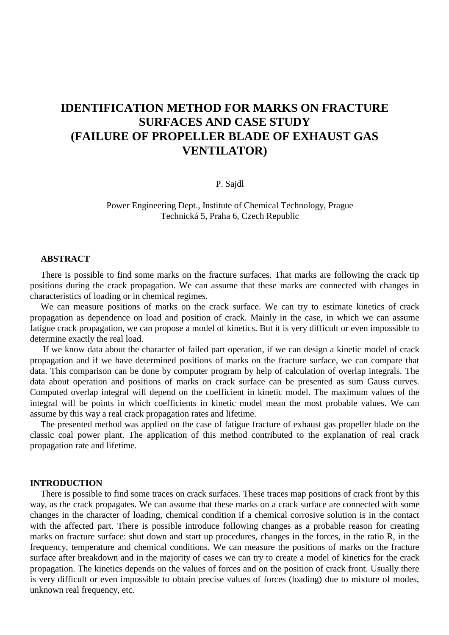# **IDENTIFICATION METHOD FOR MARKS ON FRACTURE SURFACES AND CASE STUDY (FAILURE OF PROPELLER BLADE OF EXHAUST GAS VENTILATOR)**

P. Sajdl

Power Engineering Dept., Institute of Chemical Technology, Prague Technická 5, Praha 6, Czech Republic

#### **ABSTRACT**

There is possible to find some marks on the fracture surfaces. That marks are following the crack tip positions during the crack propagation. We can assume that these marks are connected with changes in characteristics of loading or in chemical regimes.

We can measure positions of marks on the crack surface. We can try to estimate kinetics of crack propagation as dependence on load and position of crack. Mainly in the case, in which we can assume fatigue crack propagation, we can propose a model of kinetics. But it is very difficult or even impossible to determine exactly the real load.

 If we know data about the character of failed part operation, if we can design a kinetic model of crack propagation and if we have determined positions of marks on the fracture surface, we can compare that data. This comparison can be done by computer program by help of calculation of overlap integrals. The data about operation and positions of marks on crack surface can be presented as sum Gauss curves. Computed overlap integral will depend on the coefficient in kinetic model. The maximum values of the integral will be points in which coefficients in kinetic model mean the most probable values. We can assume by this way a real crack propagation rates and lifetime.

The presented method was applied on the case of fatigue fracture of exhaust gas propeller blade on the classic coal power plant. The application of this method contributed to the explanation of real crack propagation rate and lifetime.

### **INTRODUCTION**

There is possible to find some traces on crack surfaces. These traces map positions of crack front by this way, as the crack propagates. We can assume that these marks on a crack surface are connected with some changes in the character of loading, chemical condition if a chemical corrosive solution is in the contact with the affected part. There is possible introduce following changes as a probable reason for creating marks on fracture surface: shut down and start up procedures, changes in the forces, in the ratio R, in the frequency, temperature and chemical conditions. We can measure the positions of marks on the fracture surface after breakdown and in the majority of cases we can try to create a model of kinetics for the crack propagation. The kinetics depends on the values of forces and on the position of crack front. Usually there is very difficult or even impossible to obtain precise values of forces (loading) due to mixture of modes, unknown real frequency, etc.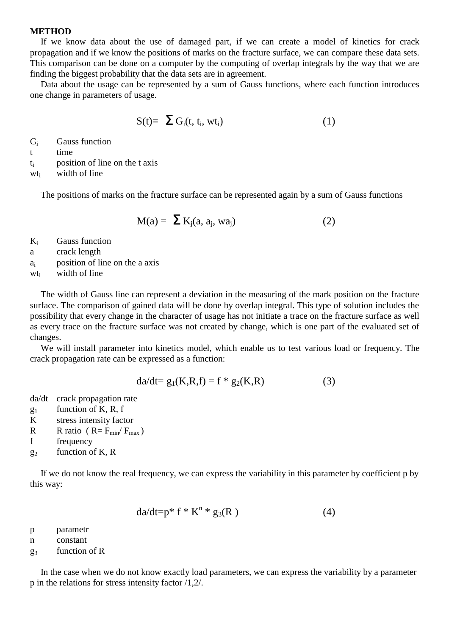#### **METHOD**

If we know data about the use of damaged part, if we can create a model of kinetics for crack propagation and if we know the positions of marks on the fracture surface, we can compare these data sets. This comparison can be done on a computer by the computing of overlap integrals by the way that we are finding the biggest probability that the data sets are in agreement.

Data about the usage can be represented by a sum of Gauss functions, where each function introduces one change in parameters of usage.

$$
S(t)=\sum G_i(t, t_i, wt_i)
$$
 (1)

Gi Gauss function

t time

 $t_i$  position of line on the t axis

wt<sub>i</sub> width of line

The positions of marks on the fracture surface can be represented again by a sum of Gauss functions

$$
M(a) = \sum K_j(a, a_j, wa_j)
$$
 (2)

Ki Gauss function

a crack length

 $a_i$  position of line on the a axis

wt<sub>i</sub> width of line

The width of Gauss line can represent a deviation in the measuring of the mark position on the fracture surface. The comparison of gained data will be done by overlap integral. This type of solution includes the possibility that every change in the character of usage has not initiate a trace on the fracture surface as well as every trace on the fracture surface was not created by change, which is one part of the evaluated set of changes.

We will install parameter into kinetics model, which enable us to test various load or frequency. The crack propagation rate can be expressed as a function:

$$
da/dt = g_1(K, R, f) = f * g_2(K, R)
$$
 (3)

da/dt crack propagation rate

- $g_1$  function of K, R, f
- K stress intensity factor
- R R ratio ( $R = F_{min}/F_{max}$ )

f frequency

 $g_2$  function of K, R

If we do not know the real frequency, we can express the variability in this parameter by coefficient p by this way:

$$
da/dt = p^* f^* K^n * g_3(R)
$$
 (4)

p parametr

- n constant
- $g_3$  function of R

In the case when we do not know exactly load parameters, we can express the variability by a parameter p in the relations for stress intensity factor /1,2/.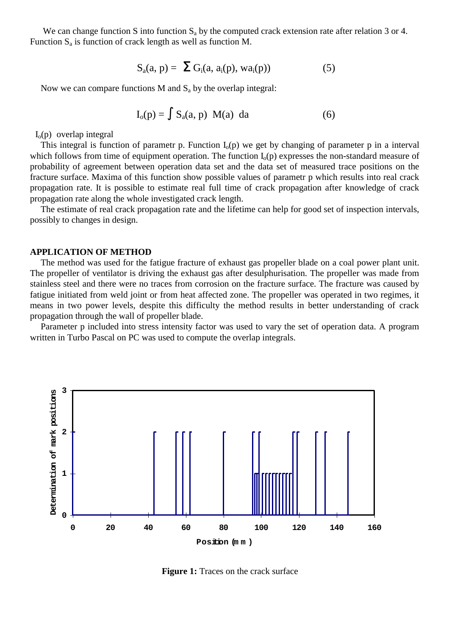We can change function S into function  $S_a$  by the computed crack extension rate after relation 3 or 4. Function  $S_a$  is function of crack length as well as function M.

$$
S_a(a, p) = \sum G_i(a, a_i(p), wa_i(p))
$$
 (5)

Now we can compare functions M and  $S_a$  by the overlap integral:

$$
I_o(p) = \int S_a(a, p) M(a) da \qquad (6)
$$

 $I<sub>o</sub>(p)$  overlap integral

This integral is function of parametr p. Function  $I_0(p)$  we get by changing of parameter p in a interval which follows from time of equipment operation. The function  $I_0(p)$  expresses the non-standard measure of probability of agreement between operation data set and the data set of measured trace positions on the fracture surface. Maxima of this function show possible values of parametr p which results into real crack propagation rate. It is possible to estimate real full time of crack propagation after knowledge of crack propagation rate along the whole investigated crack length.

The estimate of real crack propagation rate and the lifetime can help for good set of inspection intervals, possibly to changes in design.

#### **APPLICATION OF METHOD**

The method was used for the fatigue fracture of exhaust gas propeller blade on a coal power plant unit. The propeller of ventilator is driving the exhaust gas after desulphurisation. The propeller was made from stainless steel and there were no traces from corrosion on the fracture surface. The fracture was caused by fatigue initiated from weld joint or from heat affected zone. The propeller was operated in two regimes, it means in two power levels, despite this difficulty the method results in better understanding of crack propagation through the wall of propeller blade.

Parameter p included into stress intensity factor was used to vary the set of operation data. A program written in Turbo Pascal on PC was used to compute the overlap integrals.



**Figure 1:** Traces on the crack surface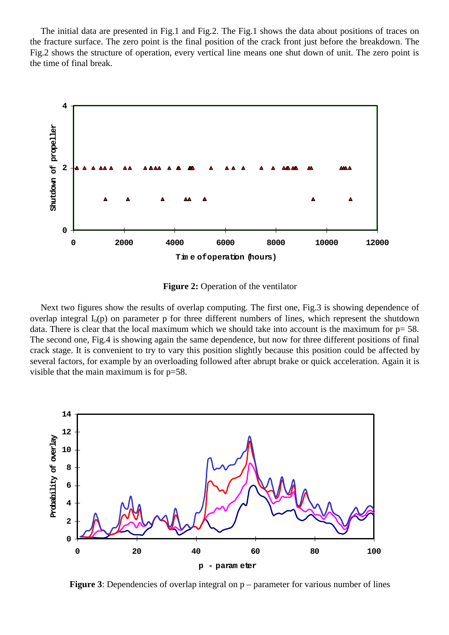The initial data are presented in Fig.1 and Fig.2. The Fig.1 shows the data about positions of traces on the fracture surface. The zero point is the final position of the crack front just before the breakdown. The Fig.2 shows the structure of operation, every vertical line means one shut down of unit. The zero point is the time of final break.



**Figure 2:** Operation of the ventilator

Next two figures show the results of overlap computing. The first one, Fig.3 is showing dependence of overlap integral  $I_0(p)$  on parameter p for three different numbers of lines, which represent the shutdown data. There is clear that the local maximum which we should take into account is the maximum for  $p= 58$ . The second one, Fig.4 is showing again the same dependence, but now for three different positions of final crack stage. It is convenient to try to vary this position slightly because this position could be affected by several factors, for example by an overloading followed after abrupt brake or quick acceleration. Again it is visible that the main maximum is for p=58.



**Figure 3**: Dependencies of overlap integral on  $p$  – parameter for various number of lines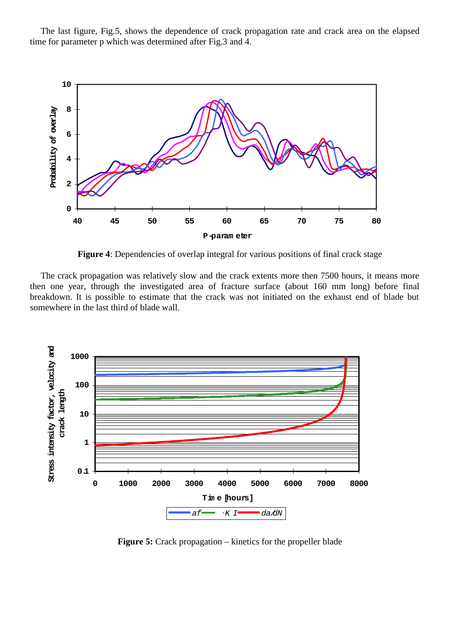The last figure, Fig.5, shows the dependence of crack propagation rate and crack area on the elapsed time for parameter p which was determined after Fig.3 and 4.



**Figure 4**: Dependencies of overlap integral for various positions of final crack stage

The crack propagation was relatively slow and the crack extents more then 7500 hours, it means more then one year, through the investigated area of fracture surface (about 160 mm long) before final breakdown. It is possible to estimate that the crack was not initiated on the exhaust end of blade but somewhere in the last third of blade wall.



**Figure 5:** Crack propagation – kinetics for the propeller blade